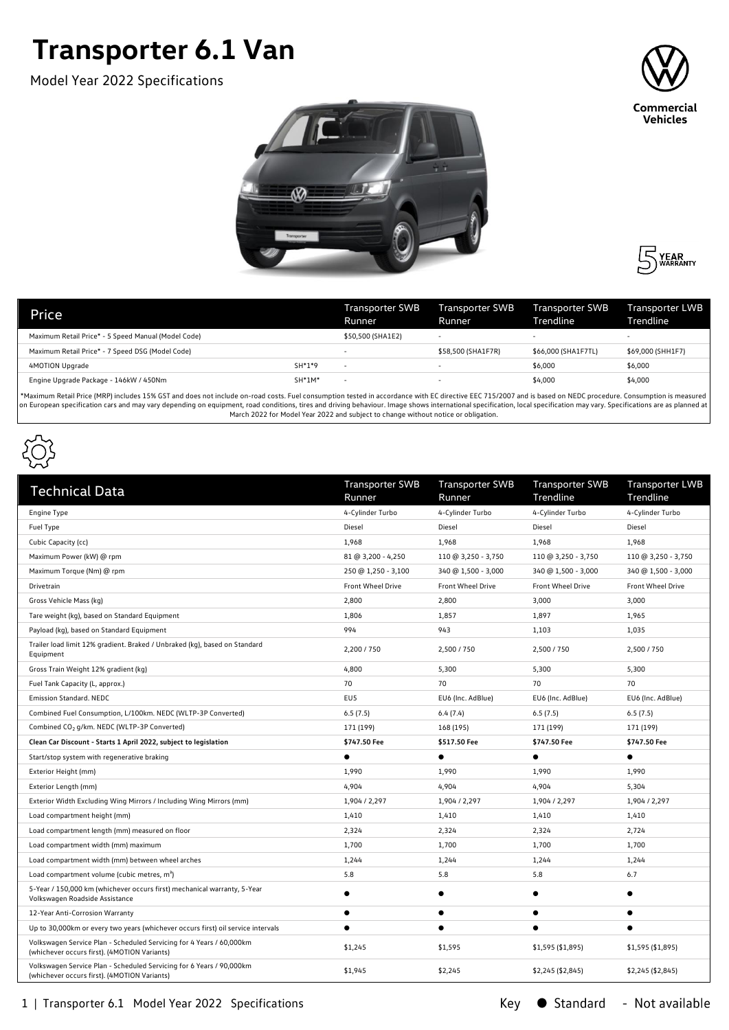## **Transporter 6.1 Van**

Model Year 2022 Specifications







| Price                                               |          | <b>Transporter SWB</b><br>Runner | Transporter SWB<br>Runner | Transporter SWB<br>Trendline | Transporter LWB<br>Trendline |
|-----------------------------------------------------|----------|----------------------------------|---------------------------|------------------------------|------------------------------|
| Maximum Retail Price* - 5 Speed Manual (Model Code) |          | \$50,500 (SHA1E2)                | -                         | $\overline{\phantom{0}}$     | $\overline{\phantom{0}}$     |
| Maximum Retail Price* - 7 Speed DSG (Model Code)    |          |                                  | \$58,500 (SHA1F7R)        | \$66,000 (SHA1F7TL)          | \$69,000 (SHH1F7)            |
| 4MOTION Upgrade                                     | $SH*1*9$ | $\overline{\phantom{0}}$         | $\overline{\phantom{0}}$  | \$6,000                      | \$6,000                      |
| Engine Upgrade Package - 146kW / 450Nm              | $SH*1M*$ | $\overline{\phantom{a}}$         |                           | \$4,000                      | \$4,000                      |
|                                                     | .        |                                  |                           |                              |                              |

\*Maximum Retail Price (MRP) includes 15% GST and does not include on-road costs. Fuel consumption tested in accordance with EC directive EEC 715/2007 and is based on NEDC procedure. Consumption is measured on European specification cars and may vary depending on equipment, road conditions, tires and driving behaviour. Image shows international specification, local specification may vary. Specifications are as planned at March 2022 for Model Year 2022 and subject to change without notice or obligation.



| <b>Technical Data</b>                                                                                                | <b>Transporter SWB</b><br>Runner | <b>Transporter SWB</b><br>Runner | <b>Transporter SWB</b><br>Trendline | <b>Transporter LWB</b><br>Trendline |
|----------------------------------------------------------------------------------------------------------------------|----------------------------------|----------------------------------|-------------------------------------|-------------------------------------|
| Engine Type                                                                                                          | 4-Cylinder Turbo                 | 4-Cylinder Turbo                 | 4-Cylinder Turbo                    | 4-Cylinder Turbo                    |
| Fuel Type                                                                                                            | Diesel                           | Diesel                           | Diesel                              | Diesel                              |
| Cubic Capacity (cc)                                                                                                  | 1,968                            | 1,968                            | 1,968                               | 1,968                               |
| Maximum Power (kW) @ rpm                                                                                             | 81 @ 3,200 - 4,250               | 110 @ 3,250 - 3,750              | 110 @ 3,250 - 3,750                 | 110 @ 3,250 - 3,750                 |
| Maximum Torque (Nm) @ rpm                                                                                            | 250 @ 1,250 - 3,100              | 340 @ 1,500 - 3,000              | 340 @ 1,500 - 3,000                 | 340 @ 1,500 - 3,000                 |
| Drivetrain                                                                                                           | <b>Front Wheel Drive</b>         | <b>Front Wheel Drive</b>         | <b>Front Wheel Drive</b>            | <b>Front Wheel Drive</b>            |
| Gross Vehicle Mass (kg)                                                                                              | 2,800                            | 2,800                            | 3,000                               | 3,000                               |
| Tare weight (kg), based on Standard Equipment                                                                        | 1,806                            | 1,857                            | 1,897                               | 1,965                               |
| Payload (kg), based on Standard Equipment                                                                            | 994                              | 943                              | 1,103                               | 1,035                               |
| Trailer load limit 12% gradient. Braked / Unbraked (kg), based on Standard<br>Equipment                              | 2,200 / 750                      | 2,500 / 750                      | 2,500 / 750                         | 2,500 / 750                         |
| Gross Train Weight 12% gradient (kg)                                                                                 | 4,800                            | 5,300                            | 5,300                               | 5,300                               |
| Fuel Tank Capacity (L, approx.)                                                                                      | 70                               | 70                               | 70                                  | 70                                  |
| Emission Standard. NEDC                                                                                              | EU <sub>5</sub>                  | EU6 (Inc. AdBlue)                | EU6 (Inc. AdBlue)                   | EU6 (Inc. AdBlue)                   |
| Combined Fuel Consumption, L/100km. NEDC (WLTP-3P Converted)                                                         | 6.5(7.5)                         | 6.4(7.4)                         | 6.5(7.5)                            | 6.5(7.5)                            |
| Combined CO <sub>2</sub> g/km. NEDC (WLTP-3P Converted)                                                              | 171 (199)                        | 168 (195)                        | 171 (199)                           | 171 (199)                           |
| Clean Car Discount - Starts 1 April 2022, subject to legislation                                                     | \$747.50 Fee                     | \$517.50 Fee                     | \$747.50 Fee                        | \$747.50 Fee                        |
| Start/stop system with regenerative braking                                                                          | $\bullet$                        | $\bullet$                        |                                     | $\bullet$                           |
| Exterior Height (mm)                                                                                                 | 1,990                            | 1,990                            | 1,990                               | 1,990                               |
| Exterior Length (mm)                                                                                                 | 4,904                            | 4,904                            | 4,904                               | 5,304                               |
| Exterior Width Excluding Wing Mirrors / Including Wing Mirrors (mm)                                                  | 1,904 / 2,297                    | 1,904 / 2,297                    | 1,904 / 2,297                       | 1,904 / 2,297                       |
| Load compartment height (mm)                                                                                         | 1,410                            | 1,410                            | 1,410                               | 1,410                               |
| Load compartment length (mm) measured on floor                                                                       | 2,324                            | 2,324                            | 2,324                               | 2,724                               |
| Load compartment width (mm) maximum                                                                                  | 1,700                            | 1,700                            | 1,700                               | 1,700                               |
| Load compartment width (mm) between wheel arches                                                                     | 1,244                            | 1,244                            | 1,244                               | 1,244                               |
| Load compartment volume (cubic metres, m <sup>3</sup> )                                                              | 5.8                              | 5.8                              | 5.8                                 | 6.7                                 |
| 5-Year / 150,000 km (whichever occurs first) mechanical warranty, 5-Year<br>Volkswagen Roadside Assistance           |                                  | $\bullet$                        |                                     | $\bullet$                           |
| 12-Year Anti-Corrosion Warranty                                                                                      | $\bullet$                        | $\bullet$                        | $\bullet$                           | $\bullet$                           |
| Up to 30,000km or every two years (whichever occurs first) oil service intervals                                     | $\bullet$                        | $\bullet$                        |                                     | $\bullet$                           |
| Volkswagen Service Plan - Scheduled Servicing for 4 Years / 60,000km<br>(whichever occurs first). (4MOTION Variants) | \$1,245                          | \$1,595                          | \$1,595 (\$1,895)                   | \$1,595 (\$1,895)                   |
| Volkswagen Service Plan - Scheduled Servicing for 6 Years / 90,000km<br>(whichever occurs first). (4MOTION Variants) | \$1,945                          | \$2,245                          | \$2,245 (\$2,845)                   | \$2,245 (\$2,845)                   |

1 | Transporter 6.1 Model Year 2022 Specifications

Key ● Standard - Not available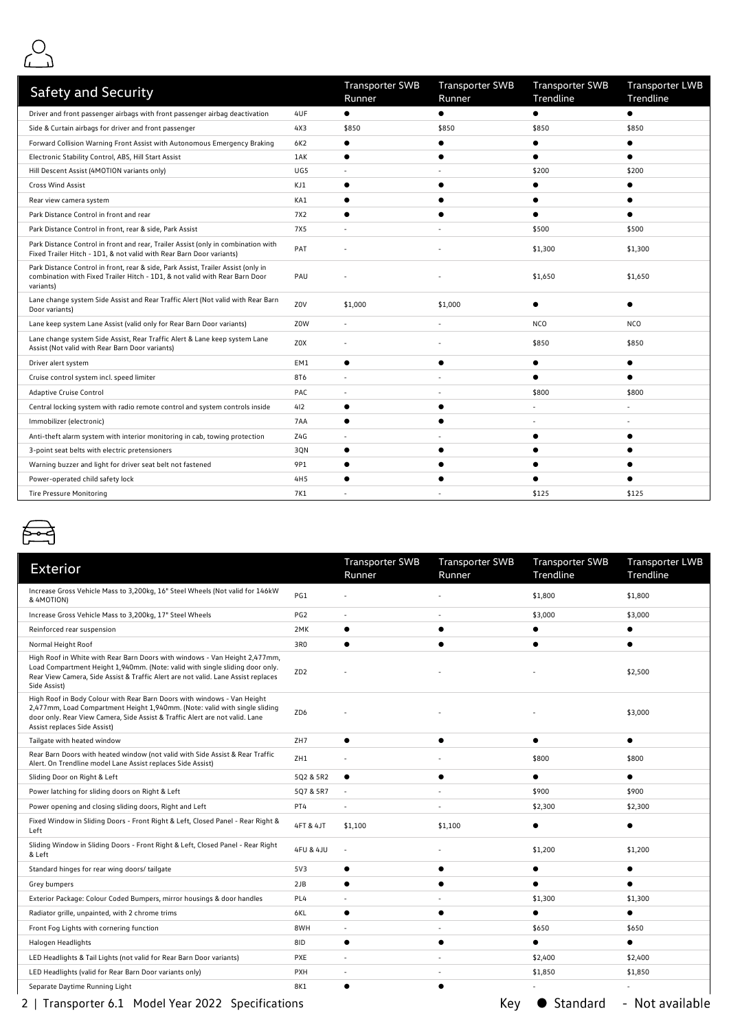

| <b>Safety and Security</b>                                                                                                                                                    |                 | <b>Transporter SWB</b><br>Runner | <b>Transporter SWB</b><br>Runner | <b>Transporter SWB</b><br>Trendline | <b>Transporter LWB</b><br>Trendline |
|-------------------------------------------------------------------------------------------------------------------------------------------------------------------------------|-----------------|----------------------------------|----------------------------------|-------------------------------------|-------------------------------------|
| Driver and front passenger airbags with front passenger airbag deactivation                                                                                                   | 4UF             | $\bullet$                        | $\bullet$                        | $\bullet$                           | $\bullet$                           |
| Side & Curtain airbags for driver and front passenger                                                                                                                         | 4X3             | \$850                            | \$850                            | \$850                               | \$850                               |
| Forward Collision Warning Front Assist with Autonomous Emergency Braking                                                                                                      | 6K2             | $\bullet$                        |                                  |                                     |                                     |
| Electronic Stability Control, ABS, Hill Start Assist                                                                                                                          | 1AK             | $\bullet$                        |                                  |                                     |                                     |
| Hill Descent Assist (4MOTION variants only)                                                                                                                                   | UG5             |                                  |                                  | \$200                               | \$200                               |
| Cross Wind Assist                                                                                                                                                             | KJ1             |                                  |                                  |                                     |                                     |
| Rear view camera system                                                                                                                                                       | KA1             |                                  |                                  |                                     |                                     |
| Park Distance Control in front and rear                                                                                                                                       | 7X2             |                                  |                                  |                                     |                                     |
| Park Distance Control in front, rear & side, Park Assist                                                                                                                      | <b>7X5</b>      |                                  |                                  | \$500                               | \$500                               |
| Park Distance Control in front and rear, Trailer Assist (only in combination with<br>Fixed Trailer Hitch - 1D1, & not valid with Rear Barn Door variants)                     | PAT             |                                  |                                  | \$1,300                             | \$1,300                             |
| Park Distance Control in front, rear & side, Park Assist, Trailer Assist (only in<br>combination with Fixed Trailer Hitch - 1D1, & not valid with Rear Barn Door<br>variants) | PAU             |                                  |                                  | \$1,650                             | \$1,650                             |
| Lane change system Side Assist and Rear Traffic Alert (Not valid with Rear Barn<br>Door variants)                                                                             | Z0V             | \$1,000                          | \$1,000                          |                                     |                                     |
| Lane keep system Lane Assist (valid only for Rear Barn Door variants)                                                                                                         | Z0W             | $\overline{\phantom{a}}$         |                                  | <b>NCO</b>                          | <b>NCO</b>                          |
| Lane change system Side Assist, Rear Traffic Alert & Lane keep system Lane<br>Assist (Not valid with Rear Barn Door variants)                                                 | Z0X             |                                  |                                  | \$850                               | \$850                               |
| Driver alert system                                                                                                                                                           | EM1             | ٠                                |                                  |                                     |                                     |
| Cruise control system incl. speed limiter                                                                                                                                     | 8T6             |                                  |                                  |                                     |                                     |
| Adaptive Cruise Control                                                                                                                                                       | PAC             |                                  |                                  | \$800                               | \$800                               |
| Central locking system with radio remote control and system controls inside                                                                                                   | 412             | $\bullet$                        |                                  |                                     |                                     |
| Immobilizer (electronic)                                                                                                                                                      | 7AA             | $\bullet$                        |                                  |                                     |                                     |
| Anti-theft alarm system with interior monitoring in cab, towing protection                                                                                                    | Z4G             |                                  |                                  |                                     |                                     |
| 3-point seat belts with electric pretensioners                                                                                                                                | 3QN             | $\bullet$                        |                                  |                                     |                                     |
| Warning buzzer and light for driver seat belt not fastened                                                                                                                    | 9P1             |                                  |                                  |                                     |                                     |
| Power-operated child safety lock                                                                                                                                              | 4H <sub>5</sub> |                                  |                                  |                                     |                                     |
| <b>Tire Pressure Monitoring</b>                                                                                                                                               | 7K1             |                                  |                                  | \$125                               | \$125                               |



| <b>Exterior</b>                                                                                                                                                                                                                                                       |                      | <b>Transporter SWB</b><br>Runner | <b>Transporter SWB</b><br>Runner | <b>Transporter SWB</b><br>Trendline | <b>Transporter LWB</b><br>Trendline |
|-----------------------------------------------------------------------------------------------------------------------------------------------------------------------------------------------------------------------------------------------------------------------|----------------------|----------------------------------|----------------------------------|-------------------------------------|-------------------------------------|
| Increase Gross Vehicle Mass to 3,200kg, 16" Steel Wheels (Not valid for 146kW<br>& 4MOTION)                                                                                                                                                                           | PG1                  |                                  |                                  | \$1,800                             | \$1,800                             |
| Increase Gross Vehicle Mass to 3,200kg, 17" Steel Wheels                                                                                                                                                                                                              | PG <sub>2</sub>      | $\ddot{\phantom{1}}$             |                                  | \$3,000                             | \$3,000                             |
| Reinforced rear suspension                                                                                                                                                                                                                                            | 2MK                  | $\bullet$                        | $\bullet$                        |                                     |                                     |
| Normal Height Roof                                                                                                                                                                                                                                                    | 3R0                  | $\epsilon$                       |                                  |                                     | $\bullet$                           |
| High Roof in White with Rear Barn Doors with windows - Van Height 2,477mm,<br>Load Compartment Height 1,940mm. (Note: valid with single sliding door only.<br>Rear View Camera, Side Assist & Traffic Alert are not valid. Lane Assist replaces<br>Side Assist)       | ZD <sub>2</sub>      |                                  |                                  |                                     | \$2,500                             |
| High Roof in Body Colour with Rear Barn Doors with windows - Van Height<br>2,477mm, Load Compartment Height 1,940mm. (Note: valid with single sliding<br>door only. Rear View Camera, Side Assist & Traffic Alert are not valid. Lane<br>Assist replaces Side Assist) | ZD6                  |                                  |                                  |                                     | \$3,000                             |
| Tailgate with heated window                                                                                                                                                                                                                                           | ZH7                  | $\bullet$                        | $\bullet$                        | ●                                   |                                     |
| Rear Barn Doors with heated window (not valid with Side Assist & Rear Traffic<br>Alert. On Trendline model Lane Assist replaces Side Assist)                                                                                                                          | ZH1                  |                                  |                                  | \$800                               | \$800                               |
| Sliding Door on Right & Left                                                                                                                                                                                                                                          | 5Q2 & 5R2            | $\bullet$                        | $\bullet$                        |                                     |                                     |
| Power latching for sliding doors on Right & Left                                                                                                                                                                                                                      | 5Q7 & 5R7            | $\overline{\phantom{a}}$         |                                  | \$900                               | \$900                               |
| Power opening and closing sliding doors, Right and Left                                                                                                                                                                                                               | PT4                  |                                  |                                  | \$2,300                             | \$2,300                             |
| Fixed Window in Sliding Doors - Front Right & Left, Closed Panel - Rear Right &<br>Left                                                                                                                                                                               | 4FT & 4JT            | \$1,100                          | \$1,100                          |                                     |                                     |
| Sliding Window in Sliding Doors - Front Right & Left, Closed Panel - Rear Right<br>& Left                                                                                                                                                                             | <b>4FU &amp; 4JU</b> | $\blacksquare$                   |                                  | \$1,200                             | \$1,200                             |
| Standard hinges for rear wing doors/ tailgate                                                                                                                                                                                                                         | 5V3                  | $\bullet$                        | $\bullet$                        |                                     | $\bullet$                           |
| Grey bumpers                                                                                                                                                                                                                                                          | 2JB                  | $\bullet$                        | $\bullet$                        |                                     |                                     |
| Exterior Package: Colour Coded Bumpers, mirror housings & door handles                                                                                                                                                                                                | PL4                  | $\overline{\phantom{a}}$         |                                  | \$1,300                             | \$1,300                             |
| Radiator grille, unpainted, with 2 chrome trims                                                                                                                                                                                                                       | 6KL                  | $\bullet$                        | $\epsilon$                       |                                     | $\bullet$                           |
| Front Fog Lights with cornering function                                                                                                                                                                                                                              | 8WH                  | $\blacksquare$                   |                                  | \$650                               | \$650                               |
| Halogen Headlights                                                                                                                                                                                                                                                    | 8ID                  | $\bullet$                        | $\bullet$                        |                                     | $\bullet$                           |
| LED Headlights & Tail Lights (not valid for Rear Barn Door variants)                                                                                                                                                                                                  | PXE                  |                                  |                                  | \$2,400                             | \$2,400                             |
| LED Headlights (valid for Rear Barn Door variants only)                                                                                                                                                                                                               | <b>PXH</b>           | $\blacksquare$                   |                                  | \$1,850                             | \$1,850                             |
| Separate Daytime Running Light                                                                                                                                                                                                                                        | 8K1                  |                                  | $\epsilon$                       |                                     | ÷,                                  |

2 | Transporter 6.1 Model Year 2022 Specifications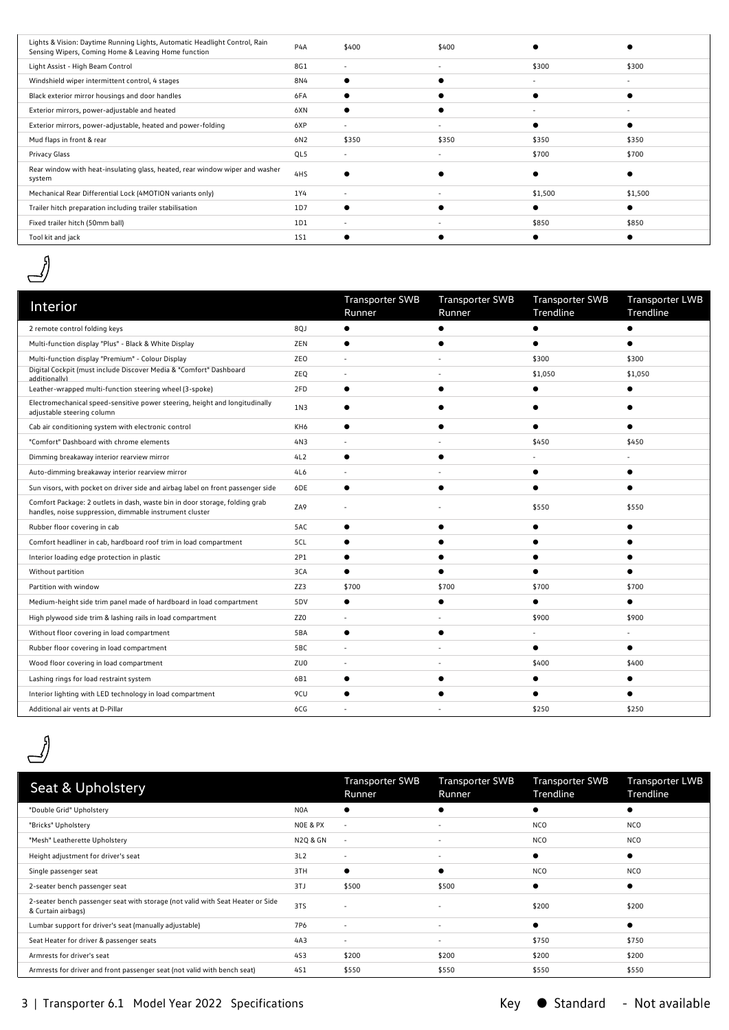| Lights & Vision: Daytime Running Lights, Automatic Headlight Control, Rain<br>Sensing Wipers, Coming Home & Leaving Home function | P <sub>4</sub> A | \$400                    | \$400                    |         |         |
|-----------------------------------------------------------------------------------------------------------------------------------|------------------|--------------------------|--------------------------|---------|---------|
| Light Assist - High Beam Control                                                                                                  | 8G1              | $\sim$                   | $\sim$                   | \$300   | \$300   |
| Windshield wiper intermittent control, 4 stages                                                                                   | 8N4              |                          |                          |         |         |
| Black exterior mirror housings and door handles                                                                                   | 6FA              |                          |                          |         |         |
| Exterior mirrors, power-adjustable and heated                                                                                     | 6XN              |                          |                          |         |         |
| Exterior mirrors, power-adjustable, heated and power-folding                                                                      | 6XP              | $\overline{\phantom{a}}$ |                          |         |         |
| Mud flaps in front & rear                                                                                                         | 6N2              | \$350                    | \$350                    | \$350   | \$350   |
| Privacy Glass                                                                                                                     | QL5              | $\sim$                   | $\overline{\phantom{a}}$ | \$700   | \$700   |
| Rear window with heat-insulating glass, heated, rear window wiper and washer<br>system                                            | 4HS              |                          |                          |         |         |
| Mechanical Rear Differential Lock (4MOTION variants only)                                                                         | 1Y4              | $\overline{\phantom{a}}$ |                          | \$1,500 | \$1,500 |
| Trailer hitch preparation including trailer stabilisation                                                                         | 1D7              |                          |                          |         |         |
| Fixed trailer hitch (50mm ball)                                                                                                   | 1D1              | $\overline{\phantom{a}}$ |                          | \$850   | \$850   |
| Tool kit and jack                                                                                                                 | 151              |                          |                          |         |         |
|                                                                                                                                   |                  |                          |                          |         |         |

 $\mathcal{J}$ 

| Interior                                                                                                                               |     | <b>Transporter SWB</b><br>Runner | <b>Transporter SWB</b><br>Runner | <b>Transporter SWB</b><br>Trendline | <b>Transporter LWB</b><br>Trendline |
|----------------------------------------------------------------------------------------------------------------------------------------|-----|----------------------------------|----------------------------------|-------------------------------------|-------------------------------------|
| 2 remote control folding keys                                                                                                          | 8QJ | $\bullet$                        |                                  | ∙                                   |                                     |
| Multi-function display "Plus" - Black & White Display                                                                                  | ZEN | $\bullet$                        |                                  |                                     |                                     |
| Multi-function display "Premium" - Colour Display                                                                                      | ZEO |                                  |                                  | \$300                               | \$300                               |
| Digital Cockpit (must include Discover Media & "Comfort" Dashboard<br>additionally)                                                    | ZEQ |                                  |                                  | \$1,050                             | \$1,050                             |
| Leather-wrapped multi-function steering wheel (3-spoke)                                                                                | 2FD | $\bullet$                        |                                  |                                     |                                     |
| Electromechanical speed-sensitive power steering, height and longitudinally<br>adjustable steering column                              | 1N3 | $\bullet$                        |                                  |                                     |                                     |
| Cab air conditioning system with electronic control                                                                                    | KH6 | $\bullet$                        |                                  |                                     |                                     |
| "Comfort" Dashboard with chrome elements                                                                                               | 4N3 |                                  |                                  | \$450                               | \$450                               |
| Dimming breakaway interior rearview mirror                                                                                             | 4L2 | $\bullet$                        |                                  |                                     |                                     |
| Auto-dimming breakaway interior rearview mirror                                                                                        | 4L6 |                                  |                                  |                                     |                                     |
| Sun visors, with pocket on driver side and airbag label on front passenger side                                                        | 6DE | $\bullet$                        |                                  |                                     |                                     |
| Comfort Package: 2 outlets in dash, waste bin in door storage, folding grab<br>handles, noise suppression, dimmable instrument cluster | ZA9 |                                  |                                  | \$550                               | \$550                               |
| Rubber floor covering in cab                                                                                                           | 5AC | $\bullet$                        |                                  |                                     |                                     |
| Comfort headliner in cab, hardboard roof trim in load compartment                                                                      | 5CL | ٠                                |                                  |                                     |                                     |
| Interior loading edge protection in plastic                                                                                            | 2P1 |                                  |                                  |                                     |                                     |
| Without partition                                                                                                                      | 3CA |                                  |                                  |                                     |                                     |
| Partition with window                                                                                                                  | ZZ3 | \$700                            | \$700                            | \$700                               | \$700                               |
| Medium-height side trim panel made of hardboard in load compartment                                                                    | 5DV | $\bullet$                        | $\bullet$                        | $\bullet$                           | $\bullet$                           |
| High plywood side trim & lashing rails in load compartment                                                                             | ZZ0 |                                  |                                  | \$900                               | \$900                               |
| Without floor covering in load compartment                                                                                             | 5BA | $\bullet$                        |                                  |                                     |                                     |
| Rubber floor covering in load compartment                                                                                              | 5BC | $\overline{\phantom{a}}$         |                                  | $\bullet$                           | $\bullet$                           |
| Wood floor covering in load compartment                                                                                                | ZU0 |                                  |                                  | \$400                               | \$400                               |
| Lashing rings for load restraint system                                                                                                | 6B1 | $\bullet$                        |                                  |                                     |                                     |
| Interior lighting with LED technology in load compartment                                                                              | 9CU | $\bullet$                        |                                  |                                     |                                     |
| Additional air vents at D-Pillar                                                                                                       | 6CG |                                  |                                  | \$250                               | \$250                               |



| Seat & Upholstery                                                                                    |                  | <b>Transporter SWB</b><br>Runner | <b>Transporter SWB</b><br>Runner | <b>Transporter SWB</b><br>Trendline | <b>Transporter LWB</b><br>Trendline |
|------------------------------------------------------------------------------------------------------|------------------|----------------------------------|----------------------------------|-------------------------------------|-------------------------------------|
| "Double Grid" Upholstery                                                                             | N <sub>O</sub> A |                                  |                                  |                                     |                                     |
| "Bricks" Upholstery                                                                                  | NOE & PX         | $\overline{\phantom{a}}$         |                                  | <b>NCO</b>                          | <b>NCO</b>                          |
| "Mesh" Leatherette Upholstery                                                                        | N2Q & GN         | $\overline{\phantom{a}}$         |                                  | <b>NCO</b>                          | <b>NCO</b>                          |
| Height adjustment for driver's seat                                                                  | 3L2              | $\overline{\phantom{a}}$         | $\overline{\phantom{a}}$         |                                     |                                     |
| Single passenger seat                                                                                | 3TH              |                                  | ٠                                | <b>NCO</b>                          | <b>NCO</b>                          |
| 2-seater bench passenger seat                                                                        | 3TJ              | \$500                            | \$500                            |                                     |                                     |
| 2-seater bench passenger seat with storage (not valid with Seat Heater or Side<br>& Curtain airbags) | 3TS              |                                  | $\overline{\phantom{a}}$         | \$200                               | \$200                               |
| Lumbar support for driver's seat (manually adjustable)                                               | 7P6              | $\overline{\phantom{a}}$         | $\overline{\phantom{a}}$         |                                     |                                     |
| Seat Heater for driver & passenger seats                                                             | 4A3              | $\sim$                           | $\overline{\phantom{a}}$         | \$750                               | \$750                               |
| Armrests for driver's seat                                                                           | 453              | \$200                            | \$200                            | \$200                               | \$200                               |
| Armrests for driver and front passenger seat (not valid with bench seat)                             | 451              | \$550                            | \$550                            | \$550                               | \$550                               |